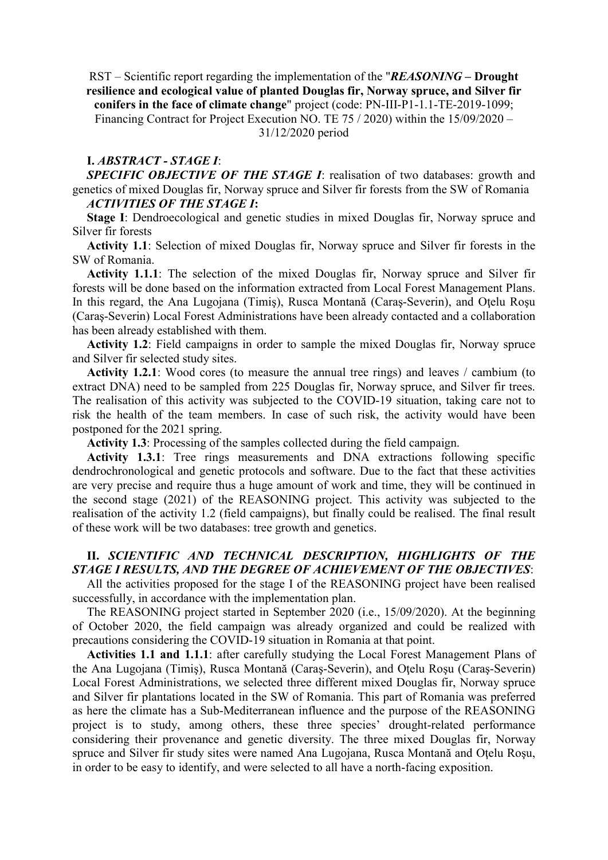RST – Scientific report regarding the implementation of the "REASONING – Drought resilience and ecological value of planted Douglas fir, Norway spruce, and Silver fir conifers in the face of climate change" project (code: PN-III-P1-1.1-TE-2019-1099; Financing Contract for Project Execution NO. TE 75 / 2020) within the 15/09/2020 – 31/12/2020 period

#### I. ABSTRACT - STAGE I:

SPECIFIC OBJECTIVE OF THE STAGE I: realisation of two databases: growth and genetics of mixed Douglas fir, Norway spruce and Silver fir forests from the SW of Romania ACTIVITIES OF THE STAGE I:

Stage I: Dendroecological and genetic studies in mixed Douglas fir, Norway spruce and Silver fir forests

Activity 1.1: Selection of mixed Douglas fir, Norway spruce and Silver fir forests in the SW of Romania.

Activity 1.1.1: The selection of the mixed Douglas fir, Norway spruce and Silver fir forests will be done based on the information extracted from Local Forest Management Plans. In this regard, the Ana Lugojana (Timiş), Rusca Montană (Caraş-Severin), and Oţelu Roşu (Caraş-Severin) Local Forest Administrations have been already contacted and a collaboration has been already established with them.

Activity 1.2: Field campaigns in order to sample the mixed Douglas fir, Norway spruce and Silver fir selected study sites.

Activity 1.2.1: Wood cores (to measure the annual tree rings) and leaves / cambium (to extract DNA) need to be sampled from 225 Douglas fir, Norway spruce, and Silver fir trees. The realisation of this activity was subjected to the COVID-19 situation, taking care not to risk the health of the team members. In case of such risk, the activity would have been postponed for the 2021 spring.

Activity 1.3: Processing of the samples collected during the field campaign.

Activity 1.3.1: Tree rings measurements and DNA extractions following specific dendrochronological and genetic protocols and software. Due to the fact that these activities are very precise and require thus a huge amount of work and time, they will be continued in the second stage (2021) of the REASONING project. This activity was subjected to the realisation of the activity 1.2 (field campaigns), but finally could be realised. The final result of these work will be two databases: tree growth and genetics.

# II. SCIENTIFIC AND TECHNICAL DESCRIPTION, HIGHLIGHTS OF THE STAGE I RESULTS, AND THE DEGREE OF ACHIEVEMENT OF THE OBJECTIVES:

All the activities proposed for the stage I of the REASONING project have been realised successfully, in accordance with the implementation plan.

The REASONING project started in September 2020 (i.e., 15/09/2020). At the beginning of October 2020, the field campaign was already organized and could be realized with precautions considering the COVID-19 situation in Romania at that point.

Activities 1.1 and 1.1.1: after carefully studying the Local Forest Management Plans of the Ana Lugojana (Timiş), Rusca Montană (Caraş-Severin), and Oţelu Roşu (Caraş-Severin) Local Forest Administrations, we selected three different mixed Douglas fir, Norway spruce and Silver fir plantations located in the SW of Romania. This part of Romania was preferred as here the climate has a Sub-Mediterranean influence and the purpose of the REASONING project is to study, among others, these three species' drought-related performance considering their provenance and genetic diversity. The three mixed Douglas fir, Norway spruce and Silver fir study sites were named Ana Lugojana, Rusca Montană and Oţelu Roşu, in order to be easy to identify, and were selected to all have a north-facing exposition.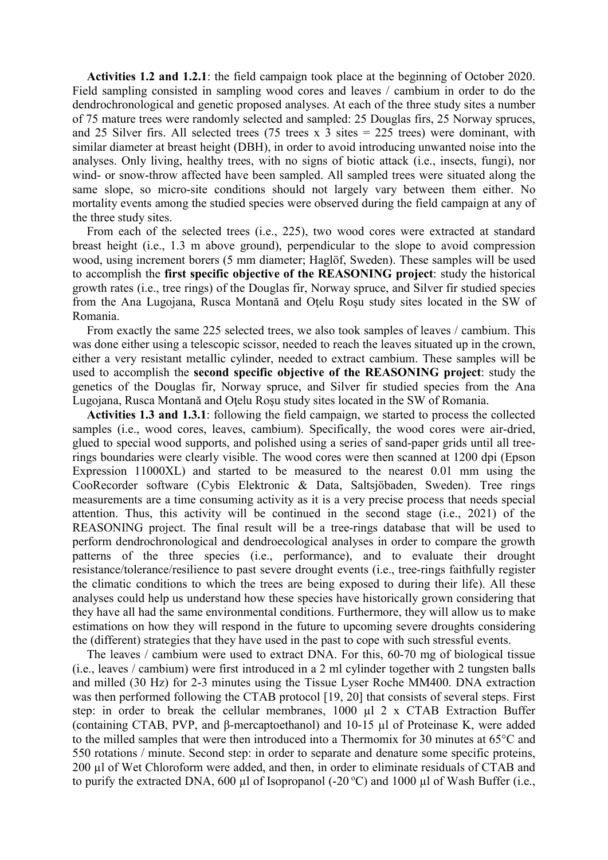Activities 1.2 and 1.2.1: the field campaign took place at the beginning of October 2020. Field sampling consisted in sampling wood cores and leaves / cambium in order to do the dendrochronological and genetic proposed analyses. At each of the three study sites a number of 75 mature trees were randomly selected and sampled: 25 Douglas firs, 25 Norway spruces, and 25 Silver firs. All selected trees (75 trees x 3 sites  $= 225$  trees) were dominant, with similar diameter at breast height (DBH), in order to avoid introducing unwanted noise into the analyses. Only living, healthy trees, with no signs of biotic attack (i.e., insects, fungi), nor wind- or snow-throw affected have been sampled. All sampled trees were situated along the same slope, so micro-site conditions should not largely vary between them either. No mortality events among the studied species were observed during the field campaign at any of the three study sites.

From each of the selected trees (i.e., 225), two wood cores were extracted at standard breast height (i.e., 1.3 m above ground), perpendicular to the slope to avoid compression wood, using increment borers (5 mm diameter; Haglöf, Sweden). These samples will be used to accomplish the first specific objective of the REASONING project: study the historical growth rates (i.e., tree rings) of the Douglas fir, Norway spruce, and Silver fir studied species from the Ana Lugojana, Rusca Montană and Oţelu Roşu study sites located in the SW of Romania.

From exactly the same 225 selected trees, we also took samples of leaves / cambium. This was done either using a telescopic scissor, needed to reach the leaves situated up in the crown, either a very resistant metallic cylinder, needed to extract cambium. These samples will be used to accomplish the second specific objective of the REASONING project: study the genetics of the Douglas fir, Norway spruce, and Silver fir studied species from the Ana Lugojana, Rusca Montană and Oţelu Roşu study sites located in the SW of Romania.

Activities 1.3 and 1.3.1: following the field campaign, we started to process the collected samples (i.e., wood cores, leaves, cambium). Specifically, the wood cores were air-dried, glued to special wood supports, and polished using a series of sand-paper grids until all treerings boundaries were clearly visible. The wood cores were then scanned at 1200 dpi (Epson Expression 11000XL) and started to be measured to the nearest 0.01 mm using the CooRecorder software (Cybis Elektronic & Data, Saltsjöbaden, Sweden). Tree rings measurements are a time consuming activity as it is a very precise process that needs special attention. Thus, this activity will be continued in the second stage (i.e., 2021) of the REASONING project. The final result will be a tree-rings database that will be used to perform dendrochronological and dendroecological analyses in order to compare the growth patterns of the three species (i.e., performance), and to evaluate their drought resistance/tolerance/resilience to past severe drought events (i.e., tree-rings faithfully register the climatic conditions to which the trees are being exposed to during their life). All these analyses could help us understand how these species have historically grown considering that they have all had the same environmental conditions. Furthermore, they will allow us to make estimations on how they will respond in the future to upcoming severe droughts considering the (different) strategies that they have used in the past to cope with such stressful events.

The leaves / cambium were used to extract DNA. For this, 60-70 mg of biological tissue (i.e., leaves / cambium) were first introduced in a 2 ml cylinder together with 2 tungsten balls and milled (30 Hz) for 2-3 minutes using the Tissue Lyser Roche MM400. DNA extraction was then performed following the CTAB protocol [19, 20] that consists of several steps. First step: in order to break the cellular membranes, 1000 ul 2 x CTAB Extraction Buffer (containing CTAB, PVP, and β-mercaptoethanol) and 10-15 µl of Proteinase K, were added to the milled samples that were then introduced into a Thermomix for 30 minutes at 65°C and 550 rotations / minute. Second step: in order to separate and denature some specific proteins, 200 µl of Wet Chloroform were added, and then, in order to eliminate residuals of CTAB and to purify the extracted DNA, 600 µl of Isopropanol (-20 $\degree$ C) and 1000 µl of Wash Buffer (i.e.,